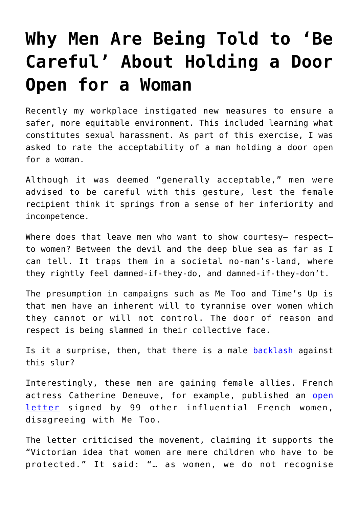## **[Why Men Are Being Told to 'Be](https://intellectualtakeout.org/2018/03/why-men-are-being-told-to-be-careful-about-holding-a-door-open-for-a-woman/) [Careful' About Holding a Door](https://intellectualtakeout.org/2018/03/why-men-are-being-told-to-be-careful-about-holding-a-door-open-for-a-woman/) [Open for a Woman](https://intellectualtakeout.org/2018/03/why-men-are-being-told-to-be-careful-about-holding-a-door-open-for-a-woman/)**

Recently my workplace instigated new measures to ensure a safer, more equitable environment. This included learning what constitutes sexual harassment. As part of this exercise, I was asked to rate the acceptability of a man holding a door open for a woman.

Although it was deemed "generally acceptable," men were advised to be careful with this gesture, lest the female recipient think it springs from a sense of her inferiority and incompetence.

Where does that leave men who want to show courtesy- respectto women? Between the devil and the deep blue sea as far as I can tell. It traps them in a societal no-man's-land, where they rightly feel damned-if-they-do, and damned-if-they-don't.

The presumption in campaigns such as Me Too and Time's Up is that men have an inherent will to tyrannise over women which they cannot or will not control. The door of reason and respect is being slammed in their collective face.

Is it a surprise, then, that there is a male [backlash](https://nypost.com/2018/02/03/a-male-backlash-against-metoo-is-brewing/) against this slur?

Interestingly, these men are gaining female allies. French actress Catherine Deneuve, for example, published an [open](https://www.theguardian.com/world/2018/jan/14/french-feminists-catherine-deneuve-metoo-letter-sexual-harassment) [letter](https://www.theguardian.com/world/2018/jan/14/french-feminists-catherine-deneuve-metoo-letter-sexual-harassment) signed by 99 other influential French women, disagreeing with Me Too.

The letter criticised the movement, claiming it supports the "Victorian idea that women are mere children who have to be protected." It said: "… as women, we do not recognise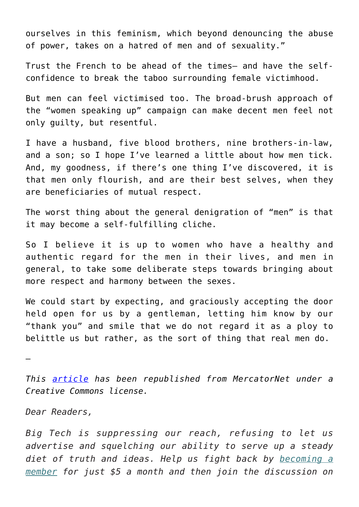ourselves in this feminism, which beyond denouncing the abuse of power, takes on a hatred of men and of sexuality."

Trust the French to be ahead of the times– and have the selfconfidence to break the taboo surrounding female victimhood.

But men can feel victimised too. The broad-brush approach of the "women speaking up" campaign can make decent men feel not only guilty, but resentful.

I have a husband, five blood brothers, nine brothers-in-law, and a son; so I hope I've learned a little about how men tick. And, my goodness, if there's one thing I've discovered, it is that men only flourish, and are their best selves, when they are beneficiaries of mutual respect.

The worst thing about the general denigration of "men" is that it may become a self-fulfilling cliche.

So I believe it is up to women who have a healthy and authentic regard for the men in their lives, and men in general, to take some deliberate steps towards bringing about more respect and harmony between the sexes.

We could start by expecting, and graciously accepting the door held open for us by a gentleman, letting him know by our "thank you" and smile that we do not regard it as a ploy to belittle us but rather, as the sort of thing that real men do.

—

*This [article](https://www.mercatornet.com/family_edge/view/after-metoo-leaving-the-door-open-for-mutual-respect/21183?utm_source=MercatorNet&utm_campaign=6d16a07d06-EMAIL_CAMPAIGN_2018_03_28&utm_medium=email&utm_term=0_e581d204e2-6d16a07d06-124656507) has been republished from MercatorNet under a Creative Commons license.*

*Dear Readers,*

*Big Tech is suppressing our reach, refusing to let us advertise and squelching our ability to serve up a steady diet of truth and ideas. Help us fight back by [becoming a](https://www.chroniclesmagazine.org/subscribe/) [member](https://www.chroniclesmagazine.org/subscribe/) for just \$5 a month and then join the discussion on*